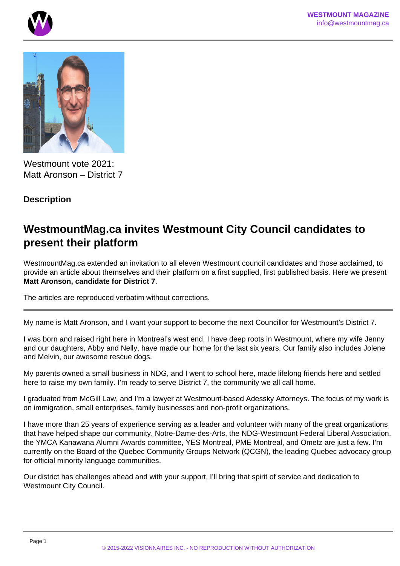



Westmount vote 2021: Matt Aronson – District 7

## **Description**

# **WestmountMag.ca invites Westmount City Council candidates to present their platform**

WestmountMag.ca extended an invitation to all eleven Westmount council candidates and those acclaimed, to provide an article about themselves and their platform on a first supplied, first published basis. Here we present **Matt Aronson, candidate for District 7**.

The articles are reproduced verbatim without corrections.

My name is Matt Aronson, and I want your support to become the next Councillor for Westmount's District 7.

I was born and raised right here in Montreal's west end. I have deep roots in Westmount, where my wife Jenny and our daughters, Abby and Nelly, have made our home for the last six years. Our family also includes Jolene and Melvin, our awesome rescue dogs.

My parents owned a small business in NDG, and I went to school here, made lifelong friends here and settled here to raise my own family. I'm ready to serve District 7, the community we all call home.

I graduated from McGill Law, and I'm a lawyer at Westmount-based Adessky Attorneys. The focus of my work is on immigration, small enterprises, family businesses and non-profit organizations.

I have more than 25 years of experience serving as a leader and volunteer with many of the great organizations that have helped shape our community. Notre-Dame-des-Arts, the NDG-Westmount Federal Liberal Association, the YMCA Kanawana Alumni Awards committee, YES Montreal, PME Montreal, and Ometz are just a few. I'm currently on the Board of the Quebec Community Groups Network (QCGN), the leading Quebec advocacy group for official minority language communities.

Our district has challenges ahead and with your support, I'll bring that spirit of service and dedication to Westmount City Council.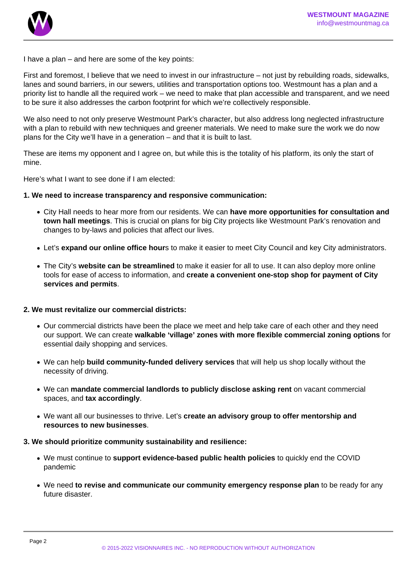

I have a plan – and here are some of the key points:

First and foremost, I believe that we need to invest in our infrastructure – not just by rebuilding roads, sidewalks, lanes and sound barriers, in our sewers, utilities and transportation options too. Westmount has a plan and a priority list to handle all the required work – we need to make that plan accessible and transparent, and we need to be sure it also addresses the carbon footprint for which we're collectively responsible.

We also need to not only preserve Westmount Park's character, but also address long neglected infrastructure with a plan to rebuild with new techniques and greener materials. We need to make sure the work we do now plans for the City we'll have in a generation – and that it is built to last.

These are items my opponent and I agree on, but while this is the totality of his platform, its only the start of mine.

Here's what I want to see done if I am elected:

#### **1. We need to increase transparency and responsive communication:**

- City Hall needs to hear more from our residents. We can **have more opportunities for consultation and town hall meetings**. This is crucial on plans for big City projects like Westmount Park's renovation and changes to by-laws and policies that affect our lives.
- Let's **expand our online office hour**s to make it easier to meet City Council and key City administrators.
- The City's **website can be streamlined** to make it easier for all to use. It can also deploy more online tools for ease of access to information, and **create a convenient one-stop shop for payment of City services and permits**.

#### **2. We must revitalize our commercial districts:**

- Our commercial districts have been the place we meet and help take care of each other and they need our support. We can create **walkable 'village' zones with more flexible commercial zoning options** for essential daily shopping and services.
- We can help **build community-funded delivery services** that will help us shop locally without the necessity of driving.
- We can **mandate commercial landlords to publicly disclose asking rent** on vacant commercial spaces, and **tax accordingly**.
- We want all our businesses to thrive. Let's **create an advisory group to offer mentorship and resources to new businesses**.

#### **3. We should prioritize community sustainability and resilience:**

- We must continue to **support evidence-based public health policies** to quickly end the COVID pandemic
- We need **to revise and communicate our community emergency response plan** to be ready for any future disaster.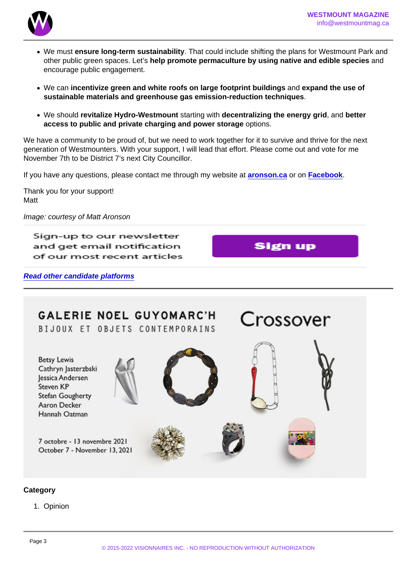- We must ensure long-term sustainability . That could include shifting the plans for Westmount Park and other public green spaces. Let's help promote permaculture by using native and edible species and encourage public engagement.
- We can incentivize green and white roofs on large footprint buildings and expand the use of sustainable materials and greenhouse gas emission-reduction techniques
- We should revitalize Hydro-Westmount starting with decentralizing the energy grid , and better access to public and private charging and power storage options.

We have a community to be proud of, but we need to work together for it to survive and thrive for the next generation of Westmounters. With your support, I will lead that effort. Please come out and vote for me November 7th to be District 7's next City Councillor.

If you have any questions, please contact me through my website at [aronson.ca](http://www.aronson.ca) or on [Facebook](http://www.facebook.com/MattAronsonDistrict7).

Thank you for your support! Matt

Image: courtesy of Matt Aronson

Read other candidate platforms

**Category** 

1. Opinion